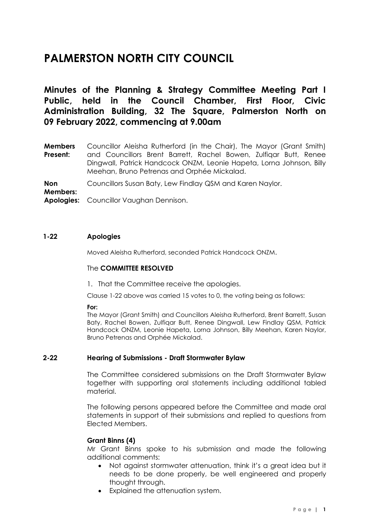# **PALMERSTON NORTH CITY COUNCIL**

**Minutes of the Planning & Strategy Committee Meeting Part I Public, held in the Council Chamber, First Floor, Civic Administration Building, 32 The Square, Palmerston North on 09 February 2022, commencing at 9.00am**

**Members Present:** Councillor Aleisha Rutherford (in the Chair), The Mayor (Grant Smith) and Councillors Brent Barrett, Rachel Bowen, Zulfiqar Butt, Renee Dingwall, Patrick Handcock ONZM, Leonie Hapeta, Lorna Johnson, Billy Meehan, Bruno Petrenas and Orphée Mickalad.

**Non**  Councillors Susan Baty, Lew Findlay QSM and Karen Naylor.

**Members:**

**Apologies:** Councillor Vaughan Dennison.

### **1-22 Apologies**

Moved Aleisha Rutherford, seconded Patrick Handcock ONZM.

# The **COMMITTEE RESOLVED**

1. That the Committee receive the apologies.

Clause 1-22 above was carried 15 votes to 0, the voting being as follows:

**For:**

The Mayor (Grant Smith) and Councillors Aleisha Rutherford, Brent Barrett, Susan Baty, Rachel Bowen, Zulfiqar Butt, Renee Dingwall, Lew Findlay QSM, Patrick Handcock ONZM, Leonie Hapeta, Lorna Johnson, Billy Meehan, Karen Naylor, Bruno Petrenas and Orphée Mickalad.

# **2-22 Hearing of Submissions - Draft Stormwater Bylaw**

The Committee considered submissions on the Draft Stormwater Bylaw together with supporting oral statements including additional tabled material.

The following persons appeared before the Committee and made oral statements in support of their submissions and replied to questions from Elected Members.

# **Grant Binns (4)**

Mr Grant Binns spoke to his submission and made the following additional comments:

- Not against stormwater attenuation, think it's a great idea but it needs to be done properly, be well engineered and properly thought through.
- Explained the attenuation system.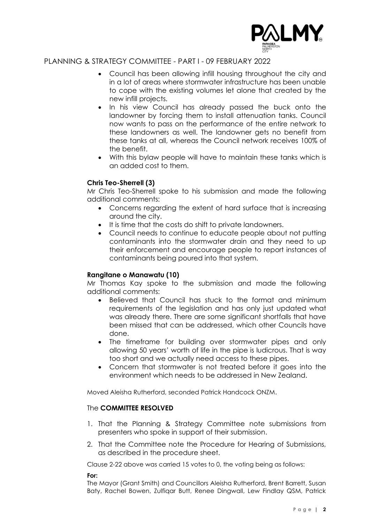

- Council has been allowing infill housing throughout the city and in a lot of areas where stormwater infrastructure has been unable to cope with the existing volumes let alone that created by the new infill projects.
- In his view Council has already passed the buck onto the landowner by forcing them to install attenuation tanks. Council now wants to pass on the performance of the entire network to these landowners as well. The landowner gets no benefit from these tanks at all, whereas the Council network receives 100% of the benefit.
- With this bylaw people will have to maintain these tanks which is an added cost to them.

# **Chris Teo-Sherrell (3)**

Mr Chris Teo-Sherrell spoke to his submission and made the following additional comments:

- Concerns regarding the extent of hard surface that is increasing around the city.
- It is time that the costs do shift to private landowners.
- Council needs to continue to educate people about not putting contaminants into the stormwater drain and they need to up their enforcement and encourage people to report instances of contaminants being poured into that system.

# **Rangitane o Manawatu (10)**

Mr Thomas Kay spoke to the submission and made the following additional comments:

- Believed that Council has stuck to the format and minimum requirements of the legislation and has only just updated what was already there. There are some significant shortfalls that have been missed that can be addressed, which other Councils have done.
- The timeframe for building over stormwater pipes and only allowing 50 years' worth of life in the pipe is ludicrous. That is way too short and we actually need access to these pipes.
- Concern that stormwater is not treated before it goes into the environment which needs to be addressed in New Zealand.

Moved Aleisha Rutherford, seconded Patrick Handcock ONZM.

# The **COMMITTEE RESOLVED**

- 1. That the Planning & Strategy Committee note submissions from presenters who spoke in support of their submission.
- 2. That the Committee note the Procedure for Hearing of Submissions, as described in the procedure sheet.

Clause 2-22 above was carried 15 votes to 0, the voting being as follows:

**For:**

The Mayor (Grant Smith) and Councillors Aleisha Rutherford, Brent Barrett, Susan Baty, Rachel Bowen, Zulfiqar Butt, Renee Dingwall, Lew Findlay QSM, Patrick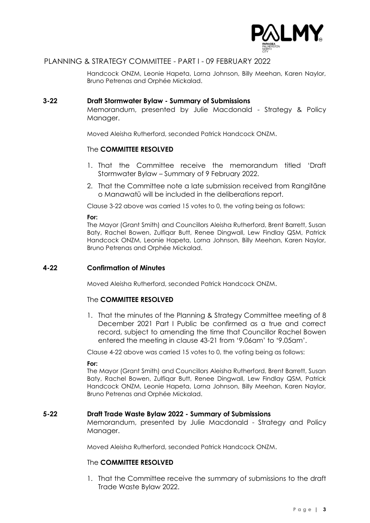

Handcock ONZM, Leonie Hapeta, Lorna Johnson, Billy Meehan, Karen Naylor, Bruno Petrenas and Orphée Mickalad.

# **3-22 Draft Stormwater Bylaw - Summary of Submissions**

Memorandum, presented by Julie Macdonald - Strategy & Policy Manager.

Moved Aleisha Rutherford, seconded Patrick Handcock ONZM.

### The **COMMITTEE RESOLVED**

- 1. That the Committee receive the memorandum titled 'Draft Stormwater Bylaw – Summary of 9 February 2022.
- 2. That the Committee note a late submission received from Rangitāne o Manawatū will be included in the deliberations report.

Clause 3-22 above was carried 15 votes to 0, the voting being as follows:

#### **For:**

The Mayor (Grant Smith) and Councillors Aleisha Rutherford, Brent Barrett, Susan Baty, Rachel Bowen, Zulfiqar Butt, Renee Dingwall, Lew Findlay QSM, Patrick Handcock ONZM, Leonie Hapeta, Lorna Johnson, Billy Meehan, Karen Naylor, Bruno Petrenas and Orphée Mickalad.

# **4-22 Confirmation of Minutes**

Moved Aleisha Rutherford, seconded Patrick Handcock ONZM.

### The **COMMITTEE RESOLVED**

1. That the minutes of the Planning & Strategy Committee meeting of 8 December 2021 Part I Public be confirmed as a true and correct record, subject to amending the time that Councillor Rachel Bowen entered the meeting in clause 43-21 from '9.06am' to '9.05am'.

Clause 4-22 above was carried 15 votes to 0, the voting being as follows:

### **For:**

The Mayor (Grant Smith) and Councillors Aleisha Rutherford, Brent Barrett, Susan Baty, Rachel Bowen, Zulfiqar Butt, Renee Dingwall, Lew Findlay QSM, Patrick Handcock ONZM, Leonie Hapeta, Lorna Johnson, Billy Meehan, Karen Naylor, Bruno Petrenas and Orphée Mickalad.

# **5-22 Draft Trade Waste Bylaw 2022 - Summary of Submissions**

Memorandum, presented by Julie Macdonald - Strategy and Policy Manager.

Moved Aleisha Rutherford, seconded Patrick Handcock ONZM.

# The **COMMITTEE RESOLVED**

1. That the Committee receive the summary of submissions to the draft Trade Waste Bylaw 2022.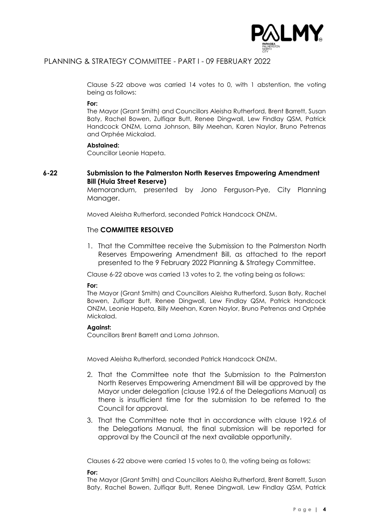

Clause 5-22 above was carried 14 votes to 0, with 1 abstention, the voting being as follows:

### **For:**

The Mayor (Grant Smith) and Councillors Aleisha Rutherford, Brent Barrett, Susan Baty, Rachel Bowen, Zulfiqar Butt, Renee Dingwall, Lew Findlay QSM, Patrick Handcock ONZM, Lorna Johnson, Billy Meehan, Karen Naylor, Bruno Petrenas and Orphée Mickalad.

### **Abstained:**

Councillor Leonie Hapeta.

# **6-22 Submission to the Palmerston North Reserves Empowering Amendment Bill (Huia Street Reserve)**

Memorandum, presented by Jono Ferguson-Pye, City Planning Manager.

Moved Aleisha Rutherford, seconded Patrick Handcock ONZM.

# The **COMMITTEE RESOLVED**

1. That the Committee receive the Submission to the Palmerston North Reserves Empowering Amendment Bill, as attached to the report presented to the 9 February 2022 Planning & Strategy Committee.

Clause 6-22 above was carried 13 votes to 2, the voting being as follows:

### **For:**

The Mayor (Grant Smith) and Councillors Aleisha Rutherford, Susan Baty, Rachel Bowen, Zulfiqar Butt, Renee Dingwall, Lew Findlay QSM, Patrick Handcock ONZM, Leonie Hapeta, Billy Meehan, Karen Naylor, Bruno Petrenas and Orphée Mickalad.

### **Against:**

Councillors Brent Barrett and Lorna Johnson.

Moved Aleisha Rutherford, seconded Patrick Handcock ONZM.

- 2. That the Committee note that the Submission to the Palmerston North Reserves Empowering Amendment Bill will be approved by the Mayor under delegation (clause 192.6 of the Delegations Manual) as there is insufficient time for the submission to be referred to the Council for approval.
- 3. That the Committee note that in accordance with clause 192.6 of the Delegations Manual, the final submission will be reported for approval by the Council at the next available opportunity.

Clauses 6-22 above were carried 15 votes to 0, the voting being as follows:

#### **For:**

The Mayor (Grant Smith) and Councillors Aleisha Rutherford, Brent Barrett, Susan Baty, Rachel Bowen, Zulfiqar Butt, Renee Dingwall, Lew Findlay QSM, Patrick